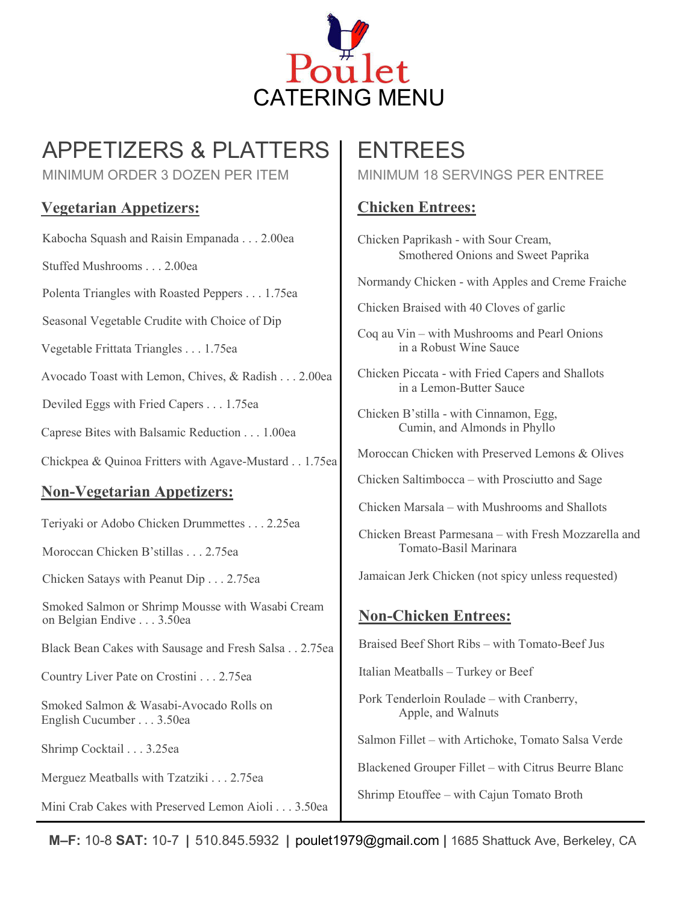

# APPETIZERS & PLATTERS

MINIMUM ORDER 3 DOZEN PER ITEM

## **Vegetarian Appetizers:**

Kabocha Squash and Raisin Empanada . . . 2.00ea

Stuffed Mushrooms . . . 2.00ea

Polenta Triangles with Roasted Peppers . . . 1.75ea

Seasonal Vegetable Crudite with Choice of Dip

Vegetable Frittata Triangles . . . 1.75ea

Avocado Toast with Lemon, Chives, & Radish . . . 2.00ea

Deviled Eggs with Fried Capers . . . 1.75ea

Caprese Bites with Balsamic Reduction . . . 1.00ea

Chickpea & Quinoa Fritters with Agave-Mustard . . 1.75ea

### **Non-Vegetarian Appetizers:**

Teriyaki or Adobo Chicken Drummettes . . . 2.25ea

Moroccan Chicken B'stillas . . . 2.75ea

Chicken Satays with Peanut Dip . . . 2.75ea

Smoked Salmon or Shrimp Mousse with Wasabi Cream on Belgian Endive . . . 3.50ea

Black Bean Cakes with Sausage and Fresh Salsa . . 2.75ea

Country Liver Pate on Crostini . . . 2.75ea

Smoked Salmon & Wasabi-Avocado Rolls on English Cucumber . . . 3.50ea

Shrimp Cocktail . . . 3.25ea

Merguez Meatballs with Tzatziki . . . 2.75ea

Mini Crab Cakes with Preserved Lemon Aioli . . . 3.50ea

## ENTREES

MINIMUM 18 SERVINGS PER ENTREE

## **Chicken Entrees:**

Chicken Paprikash - with Sour Cream, Smothered Onions and Sweet Paprika

Normandy Chicken - with Apples and Creme Fraiche

Chicken Braised with 40 Cloves of garlic

Coq au Vin – with Mushrooms and Pearl Onions in a Robust Wine Sauce

Chicken Piccata - with Fried Capers and Shallots in a Lemon-Butter Sauce

Chicken B'stilla - with Cinnamon, Egg, Cumin, and Almonds in Phyllo

Moroccan Chicken with Preserved Lemons & Olives

Chicken Saltimbocca – with Prosciutto and Sage

Chicken Marsala – with Mushrooms and Shallots

Chicken Breast Parmesana – with Fresh Mozzarella and Tomato-Basil Marinara

Jamaican Jerk Chicken (not spicy unless requested)

#### **Non-Chicken Entrees:**

Braised Beef Short Ribs – with Tomato-Beef Jus

Italian Meatballs – Turkey or Beef

Pork Tenderloin Roulade – with Cranberry, Apple, and Walnuts

Salmon Fillet – with Artichoke, Tomato Salsa Verde

Blackened Grouper Fillet – with Citrus Beurre Blanc

Shrimp Etouffee – with Cajun Tomato Broth